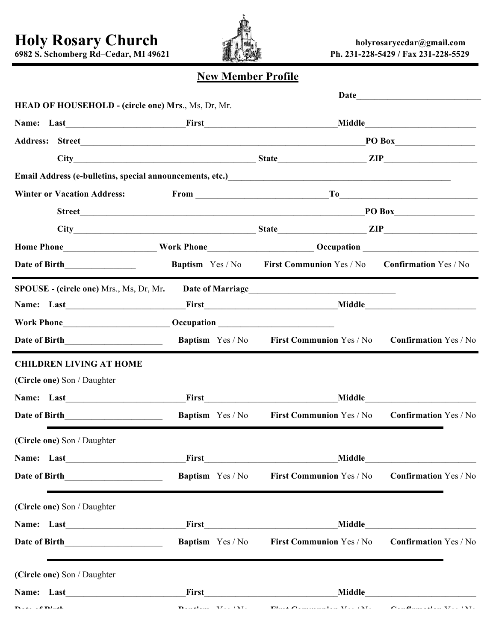**Holy Rosary Church holyrosarycedar@gmail.com**



**6982 S. Schomberg Rd–Cedar, MI 49621 Ph. 231-228-5429 / Fax 231-228-5529**

## **New Member Profile**

| <b>HEAD OF HOUSEHOLD - (circle one) Mrs., Ms, Dr, Mr.</b>                                                                         |                                                                                                                                                                                                                                                                                   |                                                                                      |                              |  |
|-----------------------------------------------------------------------------------------------------------------------------------|-----------------------------------------------------------------------------------------------------------------------------------------------------------------------------------------------------------------------------------------------------------------------------------|--------------------------------------------------------------------------------------|------------------------------|--|
|                                                                                                                                   |                                                                                                                                                                                                                                                                                   |                                                                                      |                              |  |
|                                                                                                                                   | Address: Street <b>Example 2018</b> Street <b>Example 2018</b> Street <b>Example 2018</b> Street <b>Example 2018</b> Street <b>Example 2018</b> Street <b>Example 2018</b> Street <b>Example 2018</b> Street <b>Example 2018</b> Street <b>Example 2018</b> Street <b>Example</b> |                                                                                      |                              |  |
|                                                                                                                                   |                                                                                                                                                                                                                                                                                   |                                                                                      |                              |  |
| Email Address (e-bulletins, special announcements, etc.)<br><u>Letter and announcements of the contraction of the contraction</u> |                                                                                                                                                                                                                                                                                   |                                                                                      |                              |  |
| <b>Winter or Vacation Address:</b>                                                                                                | $From _______$                                                                                                                                                                                                                                                                    |                                                                                      |                              |  |
|                                                                                                                                   |                                                                                                                                                                                                                                                                                   |                                                                                      |                              |  |
|                                                                                                                                   | City Europe State Europe State Europe State Europe State Europe State Europe State Europe State Europe State Europe State Europe State Europe State Europe State Europe State Europe State Europe State Europe State Europe St                                                    |                                                                                      |                              |  |
| Home Phone____________________Work Phone__________________________Occupation _________________________________                    |                                                                                                                                                                                                                                                                                   |                                                                                      |                              |  |
|                                                                                                                                   |                                                                                                                                                                                                                                                                                   | <b>Baptism</b> Yes / No <b>First Communion</b> Yes / No                              | <b>Confirmation Yes / No</b> |  |
| <b>SPOUSE - (circle one)</b> Mrs., Ms, Dr, Mr.                                                                                    |                                                                                                                                                                                                                                                                                   |                                                                                      |                              |  |
|                                                                                                                                   |                                                                                                                                                                                                                                                                                   |                                                                                      |                              |  |
|                                                                                                                                   |                                                                                                                                                                                                                                                                                   |                                                                                      |                              |  |
|                                                                                                                                   | <b>Baptism</b> Yes / No                                                                                                                                                                                                                                                           | First Communion Yes / No Confirmation Yes / No                                       |                              |  |
| <b>CHILDREN LIVING AT HOME</b>                                                                                                    |                                                                                                                                                                                                                                                                                   |                                                                                      |                              |  |
| (Circle one) Son / Daughter                                                                                                       |                                                                                                                                                                                                                                                                                   |                                                                                      |                              |  |
| Name: Last                                                                                                                        |                                                                                                                                                                                                                                                                                   |                                                                                      |                              |  |
|                                                                                                                                   |                                                                                                                                                                                                                                                                                   | <b>Baptism</b> Yes / No <b>First Communion</b> Yes / No <b>Confirmation</b> Yes / No |                              |  |
| (Circle one) Son / Daughter                                                                                                       |                                                                                                                                                                                                                                                                                   |                                                                                      |                              |  |
| Name: Last                                                                                                                        |                                                                                                                                                                                                                                                                                   |                                                                                      |                              |  |
|                                                                                                                                   | <b>Baptism</b> Yes / No                                                                                                                                                                                                                                                           | First Communion Yes / No                                                             | <b>Confirmation Yes / No</b> |  |
| (Circle one) Son / Daughter                                                                                                       |                                                                                                                                                                                                                                                                                   |                                                                                      |                              |  |
|                                                                                                                                   |                                                                                                                                                                                                                                                                                   |                                                                                      |                              |  |
|                                                                                                                                   |                                                                                                                                                                                                                                                                                   | Baptism Yes / No First Communion Yes / No Confirmation Yes / No                      |                              |  |
| (Circle one) Son / Daughter                                                                                                       |                                                                                                                                                                                                                                                                                   |                                                                                      |                              |  |
|                                                                                                                                   |                                                                                                                                                                                                                                                                                   |                                                                                      |                              |  |
|                                                                                                                                   |                                                                                                                                                                                                                                                                                   |                                                                                      |                              |  |